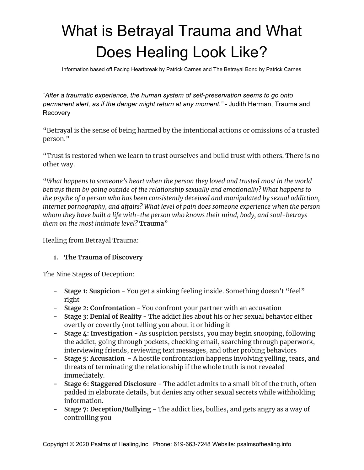# What is Betrayal Trauma and What Does Healing Look Like?

Information based off Facing Heartbreak by Patrick Carnes and The Betrayal Bond by Patrick Carnes

*"After a traumatic experience, the human system of self-preservation seems to go onto permanent alert, as if the danger might return at any moment." -* Judith Herman, Trauma and Recovery

"Betrayal is the sense of being harmed by the intentional actions or omissions of a trusted person."

"Trust is restored when we learn to trust ourselves and build trust with others. There is no other way.

"*What happens to someone's heart when the person they loved and trusted most in the world betrays them by going outside of the relationship sexually and emotionally? What happens to the psyche of a person who has been consistently deceived and manipulated by sexual addiction, internet pornography, and affairs? What level of pain does someone experience when the person whom they have built a life with-the person who knows their mind, body, and soul-betrays them on the most intimate level?* **Trauma**"

Healing from Betrayal Trauma:

## **1. The Trauma of Discovery**

The Nine Stages of Deception:

- **Stage 1: Suspicion** You get a sinking feeling inside. Something doesn't "feel" right
- **Stage 2: Confrontation** You confront your partner with an accusation
- **Stage 3: Denial of Reality** The addict lies about his or her sexual behavior either overtly or covertly (not telling you about it or hiding it
- **Stage 4: Investigation** As suspicion persists, you may begin snooping, following the addict, going through pockets, checking email, searching through paperwork, interviewing friends, reviewing text messages, and other probing behaviors
- **Stage 5: Accusation** A hostile confrontation happens involving yelling, tears, and threats of terminating the relationship if the whole truth is not revealed immediately.
- **- Stage 6: Staggered Disclosure** The addict admits to a small bit of the truth, often padded in elaborate details, but denies any other sexual secrets while withholding information.
- **- Stage 7: Deception/Bullying** The addict lies, bullies, and gets angry as a way of controlling you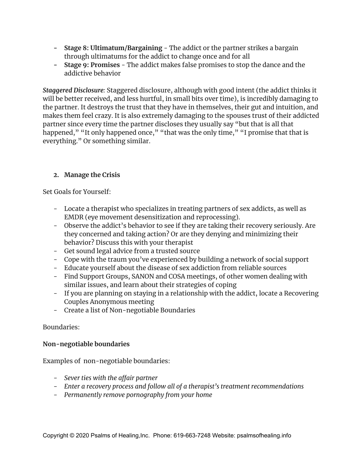- **- Stage 8: Ultimatum/Bargaining** The addict or the partner strikes a bargain through ultimatums for the addict to change once and for all
- **- Stage 9: Promises** The addict makes false promises to stop the dance and the addictive behavior

*Staggered Disclosure:* Staggered disclosure, although with good intent (the addict thinks it will be better received, and less hurtful, in small bits over time), is incredibly damaging to the partner. It destroys the trust that they have in themselves, their gut and intuition, and makes them feel crazy. It is also extremely damaging to the spouses trust of their addicted partner since every time the partner discloses they usually say "but that is all that happened," "It only happened once," "that was the only time," "I promise that that is everything." Or something similar.

# **2. Manage the Crisis**

Set Goals for Yourself:

- Locate a therapist who specializes in treating partners of sex addicts, as well as EMDR (eye movement desensitization and reprocessing).
- Observe the addict's behavior to see if they are taking their recovery seriously. Are they concerned and taking action? Or are they denying and minimizing their behavior? Discuss this with your therapist
- Get sound legal advice from a trusted source
- Cope with the traum you've experienced by building a network of social support
- Educate yourself about the disease of sex addiction from reliable sources
- Find Support Groups, SANON and COSA meetings, of other women dealing with similar issues, and learn about their strategies of coping
- If you are planning on staying in a relationship with the addict, locate a Recovering Couples Anonymous meeting
- Create a list of Non-negotiable Boundaries

# Boundaries:

# **Non-negotiable boundaries**

Examples of non-negotiable boundaries:

- *- Sever ties with the affair partner*
- *- Enter a recovery process and follow all of a therapist's treatment recommendations*
- *- Permanently remove pornography from your home*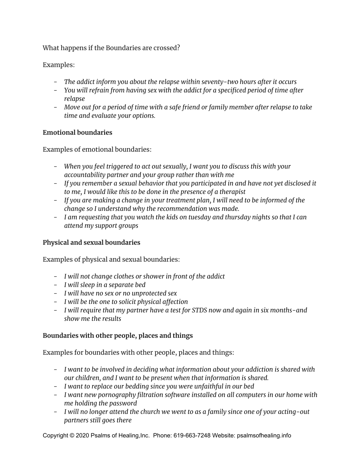What happens if the Boundaries are crossed?

Examples:

- *- The addict inform you about the relapse within seventy-two hours after it occurs*
- *- You will refrain from having sex with the addict for a specificed period of time after relapse*
- *- Move out for a period of time with a safe friend or family member after relapse to take time and evaluate your options.*

## **Emotional boundaries**

Examples of emotional boundaries:

- *- When you feel triggered to act out sexually, I want you to discuss this with your accountability partner and your group rather than with me*
- *- If you remember a sexual behavior that you participated in and have not yet disclosed it to me, I would like this to be done in the presence of a therapist*
- *- If you are making a change in your treatment plan, I will need to be informed of the change so I understand why the recommendation was made.*
- *- I am requesting that you watch the kids on tuesday and thursday nights so that I can attend my support groups*

# **Physical and sexual boundaries**

Examples of physical and sexual boundaries:

- *- I will not change clothes or shower in front of the addict*
- *- I will sleep in a separate bed*
- *- I will have no sex or no unprotected sex*
- *- I will be the one to solicit physical affection*
- *- I will require that my partner have a test for STDS now and again in six months-and show me the results*

# **Boundaries with other people, places and things**

Examples for boundaries with other people, places and things:

- *- I want to be involved in deciding what information about your addiction is shared with our children, and I want to be present when that information is shared.*
- *- I want to replace our bedding since you were unfaithful in our bed*
- *- I want new pornography filtration software installed on all computers in our home with me holding the password*
- *- I will no longer attend the church we went to as a family since one of your acting-out partners still goes there*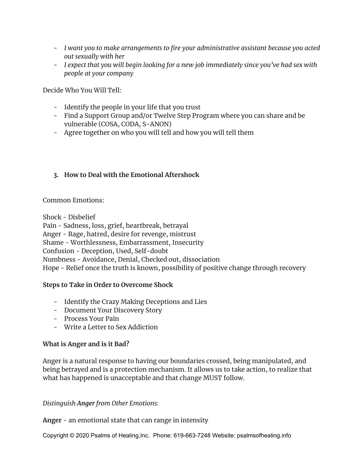- *- I want you to make arrangements to fire your administrative assistant because you acted out sexually with her*
- *- I expect that you will begin looking for a new job immediately since you've had sex with people at your company*

Decide Who You Will Tell:

- Identify the people in your life that you trust
- Find a Support Group and/or Twelve Step Program where you can share and be vulnerable (COSA, CODA, S-ANON)
- Agree together on who you will tell and how you will tell them

## **3. How to Deal with the Emotional Aftershock**

### Common Emotions:

Shock - Disbelief Pain - Sadness, loss, grief, heartbreak, betrayal Anger - Rage, hatred, desire for revenge, mistrust Shame - Worthlessness, Embarrassment, Insecurity Confusion - Deception, Used, Self-doubt Numbness - Avoidance, Denial, Checked out, dissociation Hope - Relief once the truth is known, possibility of positive change through recovery

## **Steps to Take in Order to Overcome Shock**

- Identify the Crazy Making Deceptions and Lies
- Document Your Discovery Story
- Process Your Pain
- Write a Letter to Sex Addiction

## **What is Anger and is it Bad?**

Anger is a natural response to having our boundaries crossed, being manipulated, and being betrayed and is a protection mechanism. It allows us to take action, to realize that what has happened is unacceptable and that change MUST follow.

*Distinguish Anger from Other Emotions:*

**Anger** - an emotional state that can range in intensity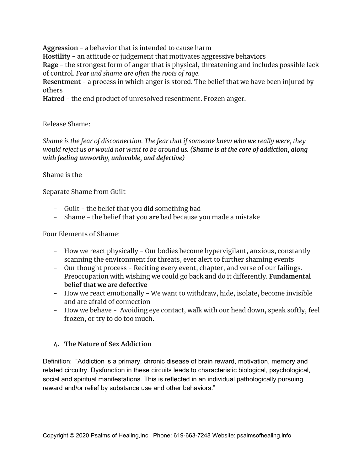**Aggression** - a behavior that is intended to cause harm

**Hostility** - an attitude or judgement that motivates aggressive behaviors

**Rage** - the strongest form of anger that is physical, threatening and includes possible lack of control. *Fear and shame are often the roots of rage.*

**Resentment** - a process in which anger is stored. The belief that we have been injured by others

**Hatred** - the end product of unresolved resentment. Frozen anger.

## Release Shame:

*Shame is the fear of disconnection. The fear that if someone knew who we really were, they* would reject us or would not want to be around us. (Shame is at the core of addiction, along *with feeling unworthy, unlovable, and defective)*

# Shame is the

Separate Shame from Guilt

- Guilt the belief that you **did** something bad
- Shame the belief that you **are** bad because you made a mistake

Four Elements of Shame:

- How we react physically Our bodies become hypervigilant, anxious, constantly scanning the environment for threats, ever alert to further shaming events
- Our thought process Reciting every event, chapter, and verse of our failings. Preoccupation with wishing we could go back and do it differently. **Fundamental belief that we are defective**
- How we react emotionally We want to withdraw, hide, isolate, become invisible and are afraid of connection
- How we behave Avoiding eye contact, walk with our head down, speak softly, feel frozen, or try to do too much.

# **4. The Nature of Sex Addiction**

Definition: "Addiction is a primary, chronic disease of brain reward, motivation, memory and related circuitry. Dysfunction in these circuits leads to characteristic biological, psychological, social and spiritual manifestations. This is reflected in an individual pathologically pursuing reward and/or relief by substance use and other behaviors."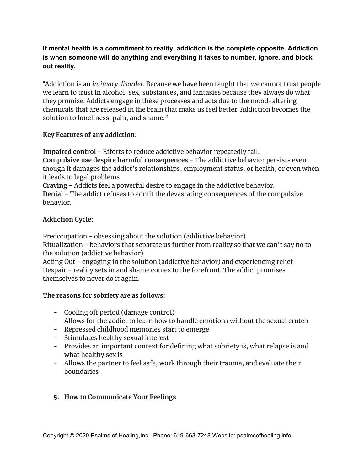# **If mental health is a commitment to reality, addiction is the complete opposite. Addiction is when someone will do anything and everything it takes to number, ignore, and block out reality.**

"Addiction is an *intimacy disorder.* Because we have been taught that we cannot trust people we learn to trust in alcohol, sex, substances, and fantasies because they always do what they promise. Addicts engage in these processes and acts due to the mood-altering chemicals that are released in the brain that make us feel better. Addiction becomes the solution to loneliness, pain, and shame."

## **Key Features of any addiction:**

**Impaired control** - Efforts to reduce addictive behavior repeatedly fail. **Compulsive use despite harmful consequences** - The addictive behavior persists even though it damages the addict's relationships, employment status, or health, or even when it leads to legal problems **Craving** - Addicts feel a powerful desire to engage in the addictive behavior. **Denial** - The addict refuses to admit the devastating consequences of the compulsive

# **Addiction Cycle:**

behavior.

Preoccupation - obsessing about the solution (addictive behavior) Ritualization - behaviors that separate us further from reality so that we can't say no to the solution (addictive behavior)

Acting Out - engaging in the solution (addictive behavior) and experiencing relief Despair - reality sets in and shame comes to the forefront. The addict promises themselves to never do it again.

# **The reasons for sobriety are as follows:**

- Cooling off period (damage control)
- Allows for the addict to learn how to handle emotions without the sexual crutch
- Repressed childhood memories start to emerge
- Stimulates healthy sexual interest
- Provides an important context for defining what sobriety is, what relapse is and what healthy sex is
- Allows the partner to feel safe, work through their trauma, and evaluate their boundaries

# **5. How to Communicate Your Feelings**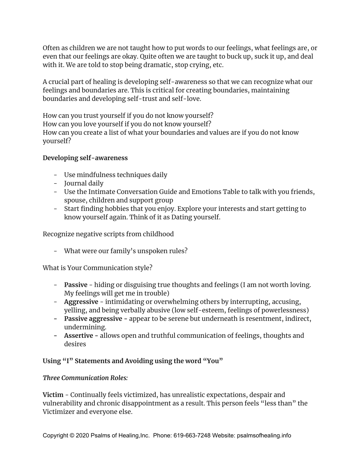Often as children we are not taught how to put words to our feelings, what feelings are, or even that our feelings are okay. Quite often we are taught to buck up, suck it up, and deal with it. We are told to stop being dramatic, stop crying, etc.

A crucial part of healing is developing self-awareness so that we can recognize what our feelings and boundaries are. This is critical for creating boundaries, maintaining boundaries and developing self-trust and self-love.

How can you trust yourself if you do not know yourself? How can you love yourself if you do not know yourself? How can you create a list of what your boundaries and values are if you do not know yourself?

## **Developing self-awareness**

- Use mindfulness techniques daily
- Journal daily
- Use the Intimate Conversation Guide and Emotions Table to talk with you friends, spouse, children and support group
- Start finding hobbies that you enjoy. Explore your interests and start getting to know yourself again. Think of it as Dating yourself.

Recognize negative scripts from childhood

- What were our family's unspoken rules?

What is Your Communication style?

- **Passive** hiding or disguising true thoughts and feelings (I am not worth loving. My feelings will get me in trouble)
- **Aggressive** intimidating or overwhelming others by interrupting, accusing, yelling, and being verbally abusive (low self-esteem, feelings of powerlessness)
- **- Passive aggressive -** appear to be serene but underneath is resentment, indirect, undermining.
- **- Assertive -** allows open and truthful communication of feelings, thoughts and desires

# **Using "I" Statements and Avoiding using the word "You"**

# *Three Communication Roles:*

**Victim** - Continually feels victimized, has unrealistic expectations, despair and vulnerability and chronic disappointment as a result. This person feels "less than" the Victimizer and everyone else.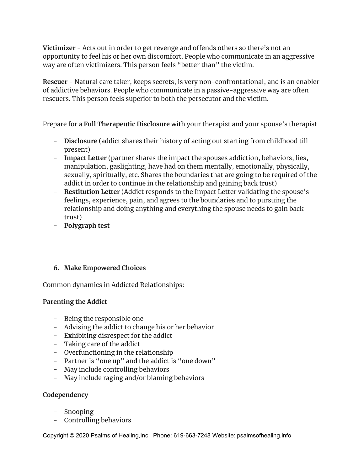**Victimizer** - Acts out in order to get revenge and offends others so there's not an opportunity to feel his or her own discomfort. People who communicate in an aggressive way are often victimizers. This person feels "better than" the victim.

**Rescuer** - Natural care taker, keeps secrets, is very non-confrontational, and is an enabler of addictive behaviors. People who communicate in a passive-aggressive way are often rescuers. This person feels superior to both the persecutor and the victim.

Prepare for a **Full Therapeutic Disclosure** with your therapist and your spouse's therapist

- **Disclosure** (addict shares their history of acting out starting from childhood till present)
- **Impact Letter** (partner shares the impact the spouses addiction, behaviors, lies, manipulation, gaslighting, have had on them mentally, emotionally, physically, sexually, spiritually, etc. Shares the boundaries that are going to be required of the addict in order to continue in the relationship and gaining back trust)
- **Restitution Letter** (Addict responds to the Impact Letter validating the spouse's feelings, experience, pain, and agrees to the boundaries and to pursuing the relationship and doing anything and everything the spouse needs to gain back trust)
- **- Polygraph test**

# **6. Make Empowered Choices**

Common dynamics in Addicted Relationships:

# **Parenting the Addict**

- Being the responsible one
- Advising the addict to change his or her behavior
- Exhibiting disrespect for the addict
- Taking care of the addict
- Overfunctioning in the relationship
- Partner is "one up" and the addict is "one down"
- May include controlling behaviors
- May include raging and/or blaming behaviors

## **Codependency**

- Snooping
- Controlling behaviors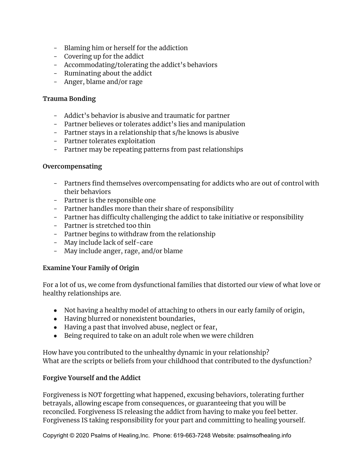- Blaming him or herself for the addiction
- Covering up for the addict
- Accommodating/tolerating the addict's behaviors
- Ruminating about the addict
- Anger, blame and/or rage

## **Trauma Bonding**

- Addict's behavior is abusive and traumatic for partner
- Partner believes or tolerates addict's lies and manipulation
- Partner stays in a relationship that s/he knows is abusive
- Partner tolerates exploitation
- Partner may be repeating patterns from past relationships

### **Overcompensating**

- Partners find themselves overcompensating for addicts who are out of control with their behaviors
- Partner is the responsible one
- Partner handles more than their share of responsibility
- Partner has difficulty challenging the addict to take initiative or responsibility
- Partner is stretched too thin
- Partner begins to withdraw from the relationship
- May include lack of self-care
- May include anger, rage, and/or blame

## **Examine Your Family of Origin**

For a lot of us, we come from dysfunctional families that distorted our view of what love or healthy relationships are.

- Not having a healthy model of attaching to others in our early family of origin,
- Having blurred or nonexistent boundaries,
- Having a past that involved abuse, neglect or fear,
- Being required to take on an adult role when we were children

How have you contributed to the unhealthy dynamic in your relationship? What are the scripts or beliefs from your childhood that contributed to the dysfunction?

## **Forgive Yourself and the Addict**

Forgiveness is NOT forgetting what happened, excusing behaviors, tolerating further betrayals, allowing escape from consequences, or guaranteeing that you will be reconciled. Forgiveness IS releasing the addict from having to make you feel better. Forgiveness IS taking responsibility for your part and committing to healing yourself.